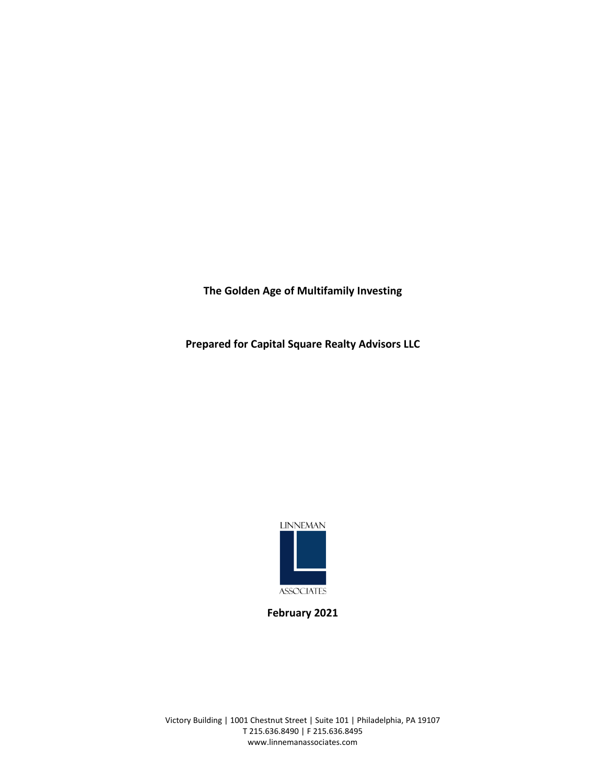**The Golden Age of Multifamily Investing**

**Prepared for Capital Square Realty Advisors LLC**



**February 2021**

Victory Building | 1001 Chestnut Street | Suite 101 | Philadelphia, PA 19107 T 215.636.8490 | F 215.636.8495 www.linnemanassociates.com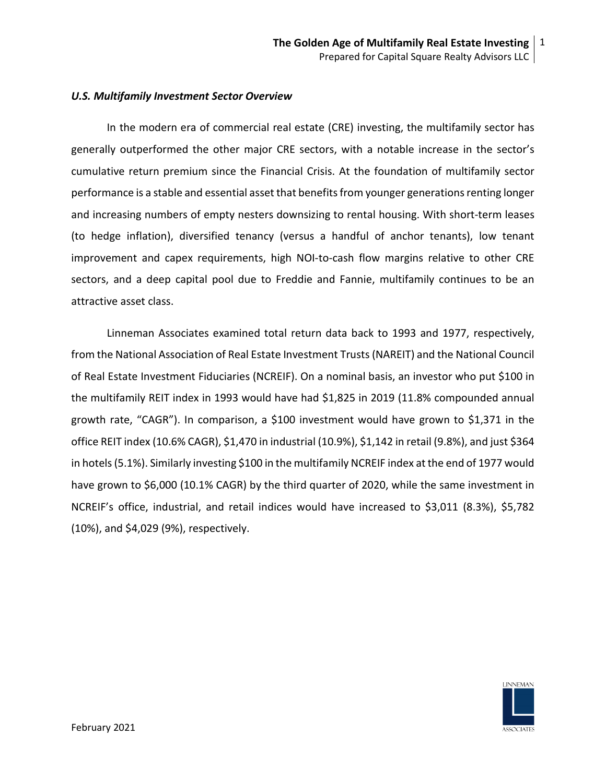### *U.S. Multifamily Investment Sector Overview*

In the modern era of commercial real estate (CRE) investing, the multifamily sector has generally outperformed the other major CRE sectors, with a notable increase in the sector's cumulative return premium since the Financial Crisis. At the foundation of multifamily sector performance is a stable and essential asset that benefits from younger generations renting longer and increasing numbers of empty nesters downsizing to rental housing. With short-term leases (to hedge inflation), diversified tenancy (versus a handful of anchor tenants), low tenant improvement and capex requirements, high NOI-to-cash flow margins relative to other CRE sectors, and a deep capital pool due to Freddie and Fannie, multifamily continues to be an attractive asset class.

Linneman Associates examined total return data back to 1993 and 1977, respectively, from the National Association of Real Estate Investment Trusts (NAREIT) and the National Council of Real Estate Investment Fiduciaries (NCREIF). On a nominal basis, an investor who put \$100 in the multifamily REIT index in 1993 would have had \$1,825 in 2019 (11.8% compounded annual growth rate, "CAGR"). In comparison, a \$100 investment would have grown to \$1,371 in the office REIT index (10.6% CAGR), \$1,470 in industrial (10.9%), \$1,142 in retail (9.8%), and just \$364 in hotels(5.1%). Similarly investing \$100 in the multifamily NCREIF index at the end of 1977 would have grown to \$6,000 (10.1% CAGR) by the third quarter of 2020, while the same investment in NCREIF's office, industrial, and retail indices would have increased to \$3,011 (8.3%), \$5,782 (10%), and \$4,029 (9%), respectively.

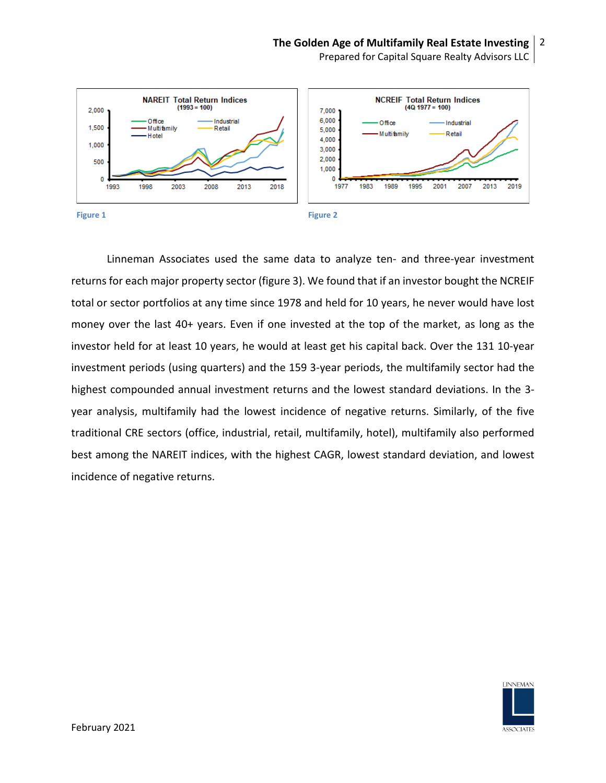Prepared for Capital Square Realty Advisors LLC



Linneman Associates used the same data to analyze ten- and three-year investment returns for each major property sector (figure 3). We found that if an investor bought the NCREIF total or sector portfolios at any time since 1978 and held for 10 years, he never would have lost money over the last 40+ years. Even if one invested at the top of the market, as long as the investor held for at least 10 years, he would at least get his capital back. Over the 131 10-year investment periods (using quarters) and the 159 3-year periods, the multifamily sector had the highest compounded annual investment returns and the lowest standard deviations. In the 3 year analysis, multifamily had the lowest incidence of negative returns. Similarly, of the five traditional CRE sectors (office, industrial, retail, multifamily, hotel), multifamily also performed best among the NAREIT indices, with the highest CAGR, lowest standard deviation, and lowest incidence of negative returns.

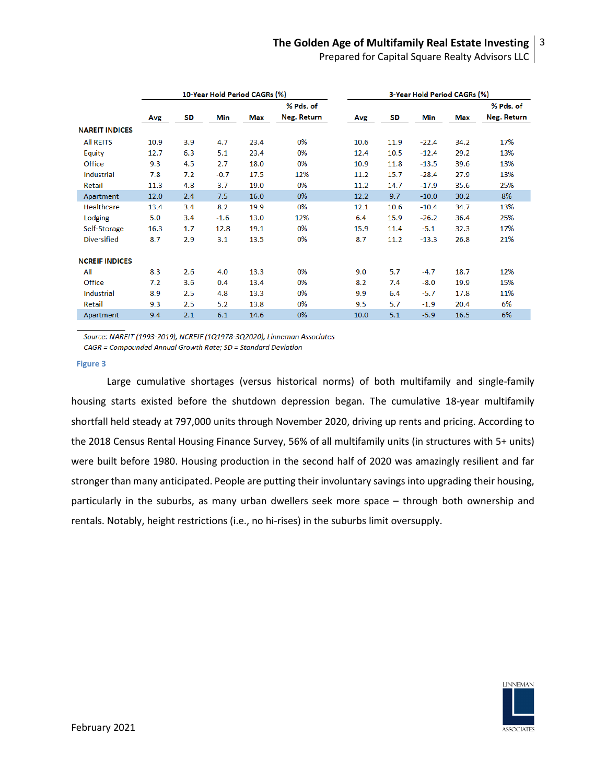Prepared for Capital Square Realty Advisors LLC

|                       | 10-Year Hold Period CAGRs (%) |     |        |            |             |      | 3-Year Hold Period CAGRs (%) |            |      |                    |
|-----------------------|-------------------------------|-----|--------|------------|-------------|------|------------------------------|------------|------|--------------------|
|                       |                               |     |        |            | % Pds. of   |      |                              |            |      | % Pds. of          |
|                       | Avg                           | SD  | Min    | <b>Max</b> | Neg. Return | Avg  | SD                           | <b>Min</b> | Max  | <b>Neg. Return</b> |
| <b>NAREIT INDICES</b> |                               |     |        |            |             |      |                              |            |      |                    |
| <b>All REITS</b>      | 10.9                          | 3.9 | 4.7    | 23.4       | 0%          | 10.6 | 11.9                         | $-22.4$    | 34.2 | 17%                |
| Equity                | 12.7                          | 6.3 | 5.1    | 23.4       | 0%          | 12.4 | 10.5                         | $-12.4$    | 29.2 | 13%                |
| Office                | 9.3                           | 4.5 | 2.7    | 18.0       | 0%          | 10.9 | 11.8                         | $-13.5$    | 39.6 | 13%                |
| <b>Industrial</b>     | 7.8                           | 7.2 | $-0.7$ | 17.5       | 12%         | 11.2 | 15.7                         | $-28.4$    | 27.9 | 13%                |
| Retail                | 11.3                          | 4.8 | 3.7    | 19.0       | 0%          | 11.2 | 14.7                         | $-17.9$    | 35.6 | 25%                |
| Apartment             | 12.0                          | 2.4 | 7.5    | 16.0       | 0%          | 12.2 | 9.7                          | $-10.0$    | 30.2 | 8%                 |
| <b>Healthcare</b>     | 13.4                          | 3.4 | 8.2    | 19.9       | 0%          | 12.1 | 10.6                         | $-10.4$    | 34.7 | 13%                |
| Lodging               | 5.0                           | 3.4 | $-1.6$ | 13.0       | 12%         | 6.4  | 15.9                         | $-26.2$    | 36.4 | 25%                |
| Self-Storage          | 16.3                          | 1.7 | 12.8   | 19.1       | 0%          | 15.9 | 11.4                         | $-5.1$     | 32.3 | 17%                |
| <b>Diversified</b>    | 8.7                           | 2.9 | 3.1    | 13.5       | 0%          | 8.7  | 11.2                         | $-13.3$    | 26.8 | 21%                |
| <b>NCREIF INDICES</b> |                               |     |        |            |             |      |                              |            |      |                    |
| All                   | 8.3                           | 2.6 | 4.0    | 13.3       | 0%          | 9.0  | 5.7                          | $-4.7$     | 18.7 | 12%                |
| Office                | 7.2                           | 3.6 | 0.4    | 13.4       | 0%          | 8.2  | 7.4                          | $-8.0$     | 19.9 | 15%                |
| <b>Industrial</b>     | 8.9                           | 2.5 | 4.8    | 13.3       | 0%          | 9.9  | 6.4                          | $-5.7$     | 17.8 | 11%                |
| Retail                | 9.3                           | 2.5 | 5.2    | 13.8       | 0%          | 9.5  | 5.7                          | $-1.9$     | 20.4 | 6%                 |
| Apartment             | 9.4                           | 2.1 | 6.1    | 14.6       | 0%          | 10.0 | 5.1                          | $-5.9$     | 16.5 | 6%                 |

Source: NAREIT (1993-2019), NCREIF (1Q1978-3Q2020), Linneman Associates

CAGR = Compounded Annual Growth Rate; SD = Standard Deviation

### **Figure 3**

Large cumulative shortages (versus historical norms) of both multifamily and single-family housing starts existed before the shutdown depression began. The cumulative 18-year multifamily shortfall held steady at 797,000 units through November 2020, driving up rents and pricing. According to the 2018 Census Rental Housing Finance Survey, 56% of all multifamily units (in structures with 5+ units) were built before 1980. Housing production in the second half of 2020 was amazingly resilient and far stronger than many anticipated. People are putting their involuntary savings into upgrading their housing, particularly in the suburbs, as many urban dwellers seek more space – through both ownership and rentals. Notably, height restrictions (i.e., no hi-rises) in the suburbs limit oversupply.

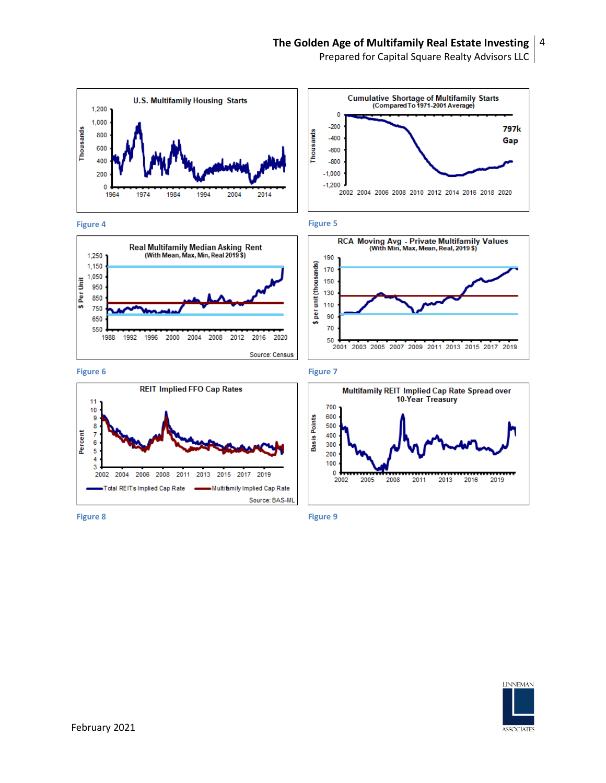Prepared for Capital Square Realty Advisors LLC

















**Figure 8 Figure 9**

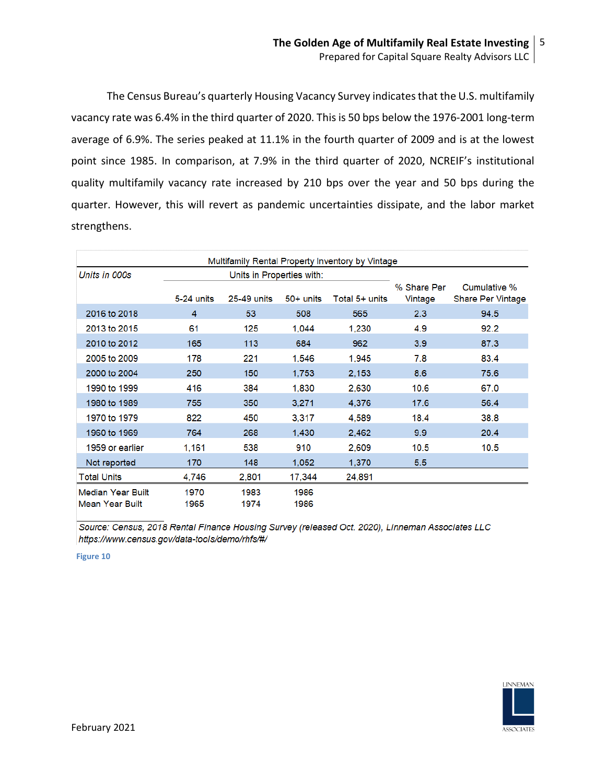The Census Bureau's quarterly Housing Vacancy Survey indicates that the U.S. multifamily vacancy rate was 6.4% in the third quarter of 2020. This is 50 bps below the 1976-2001 long-term average of 6.9%. The series peaked at 11.1% in the fourth quarter of 2009 and is at the lowest point since 1985. In comparison, at 7.9% in the third quarter of 2020, NCREIF's institutional quality multifamily vacancy rate increased by 210 bps over the year and 50 bps during the quarter. However, this will revert as pandemic uncertainties dissipate, and the labor market strengthens.

|                          |            |                           |             | Multifamily Rental Property Inventory by Vintage |             |                   |
|--------------------------|------------|---------------------------|-------------|--------------------------------------------------|-------------|-------------------|
| Units in 000s            |            | Units in Properties with: |             |                                                  |             |                   |
|                          |            |                           |             |                                                  | % Share Per | Cumulative %      |
|                          | 5-24 units | 25-49 units               | $50+$ units | Total 5+ units                                   | Vintage     | Share Per Vintage |
| 2016 to 2018             | 4          | 53                        | 508         | 565                                              | 2.3         | 94.5              |
| 2013 to 2015             | 61         | 125                       | 1,044       | 1,230                                            | 4.9         | 92.2              |
| 2010 to 2012             | 165        | 113                       | 684         | 962                                              | 3.9         | 87.3              |
| 2005 to 2009             | 178        | 221                       | 1,546       | 1,945                                            | 7.8         | 83.4              |
| 2000 to 2004             | 250        | 150                       | 1,753       | 2,153                                            | 8.6         | 75.6              |
| 1990 to 1999             | 416        | 384                       | 1,830       | 2,630                                            | 10.6        | 67.0              |
| 1980 to 1989             | 755        | 350                       | 3,271       | 4.376                                            | 17.6        | 56.4              |
| 1970 to 1979             | 822        | 450                       | 3.317       | 4.589                                            | 18.4        | 38.8              |
| 1960 to 1969             | 764        | 268                       | 1.430       | 2.462                                            | 9.9         | 20.4              |
| 1959 or earlier          | 1.161      | 538                       | 910         | 2.609                                            | 10.5        | 10.5              |
| Not reported             | 170        | 148                       | 1,052       | 1,370                                            | 5.5         |                   |
| <b>Total Units</b>       | 4.746      | 2.801                     | 17.344      | 24.891                                           |             |                   |
| <b>Median Year Built</b> | 1970       | 1983                      | 1986        |                                                  |             |                   |
| <b>Mean Year Built</b>   | 1965       | 1974                      | 1986        |                                                  |             |                   |

Source: Census, 2018 Rental Finance Housing Survey (released Oct. 2020), Linneman Associates LLC https://www.census.gov/data-tools/demo/rhfs/#/

**Figure 10**

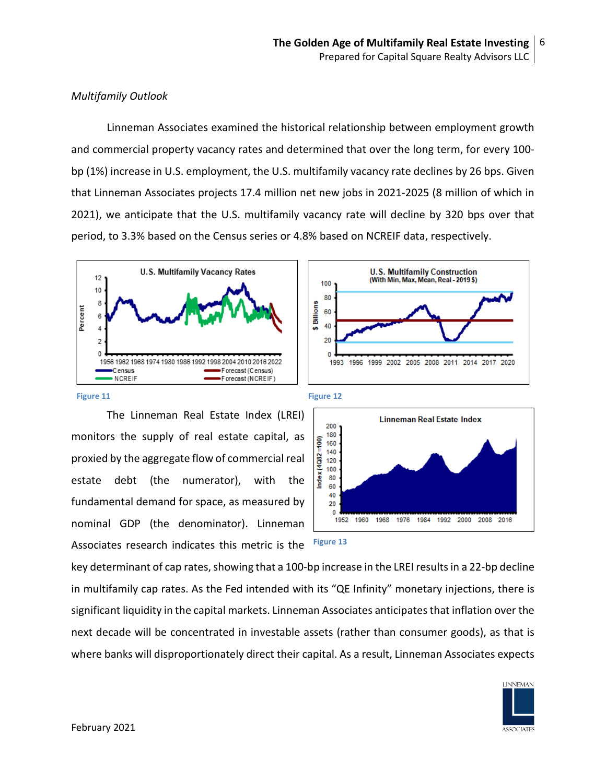# *Multifamily Outlook*

Linneman Associates examined the historical relationship between employment growth and commercial property vacancy rates and determined that over the long term, for every 100 bp (1%) increase in U.S. employment, the U.S. multifamily vacancy rate declines by 26 bps. Given that Linneman Associates projects 17.4 million net new jobs in 2021-2025 (8 million of which in 2021), we anticipate that the U.S. multifamily vacancy rate will decline by 320 bps over that period, to 3.3% based on the Census series or 4.8% based on NCREIF data, respectively.





The Linneman Real Estate Index (LREI) monitors the supply of real estate capital, as proxied by the aggregate flow of commercial real estate debt (the numerator), with the fundamental demand for space, as measured by nominal GDP (the denominator). Linneman Associates research indicates this metric is the







key determinant of cap rates, showing that a 100-bp increase in the LREI results in a 22-bp decline in multifamily cap rates. As the Fed intended with its "QE Infinity" monetary injections, there is significant liquidity in the capital markets. Linneman Associates anticipatesthat inflation over the next decade will be concentrated in investable assets (rather than consumer goods), as that is where banks will disproportionately direct their capital. As a result, Linneman Associates expects

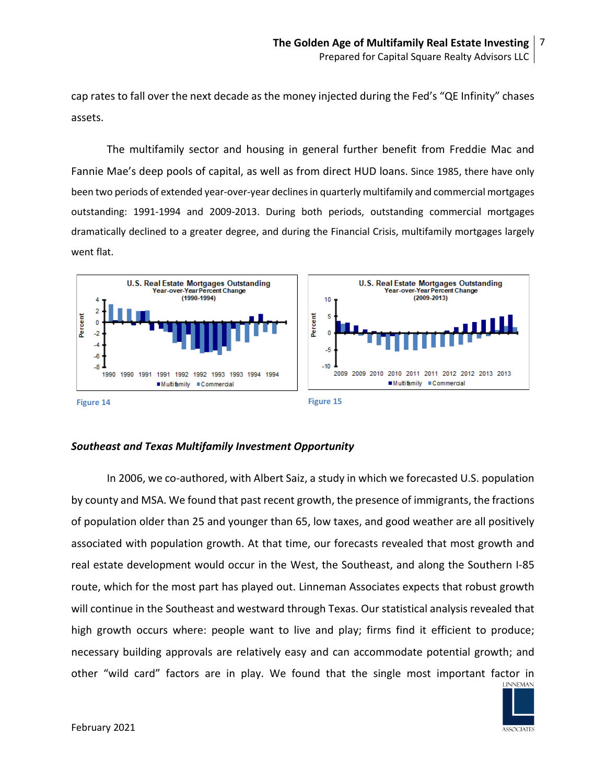cap rates to fall over the next decade as the money injected during the Fed's "QE Infinity" chases assets.

The multifamily sector and housing in general further benefit from Freddie Mac and Fannie Mae's deep pools of capital, as well as from direct HUD loans. Since 1985, there have only been two periods of extended year-over-year declines in quarterly multifamily and commercial mortgages outstanding: 1991-1994 and 2009-2013. During both periods, outstanding commercial mortgages dramatically declined to a greater degree, and during the Financial Crisis, multifamily mortgages largely went flat.



### *Southeast and Texas Multifamily Investment Opportunity*

In 2006, we co-authored, with Albert Saiz, a study in which we forecasted U.S. population by county and MSA. We found that past recent growth, the presence of immigrants, the fractions of population older than 25 and younger than 65, low taxes, and good weather are all positively associated with population growth. At that time, our forecasts revealed that most growth and real estate development would occur in the West, the Southeast, and along the Southern I-85 route, which for the most part has played out. Linneman Associates expects that robust growth will continue in the Southeast and westward through Texas. Our statistical analysis revealed that high growth occurs where: people want to live and play; firms find it efficient to produce; necessary building approvals are relatively easy and can accommodate potential growth; and other "wild card" factors are in play. We found that the single most important factor in

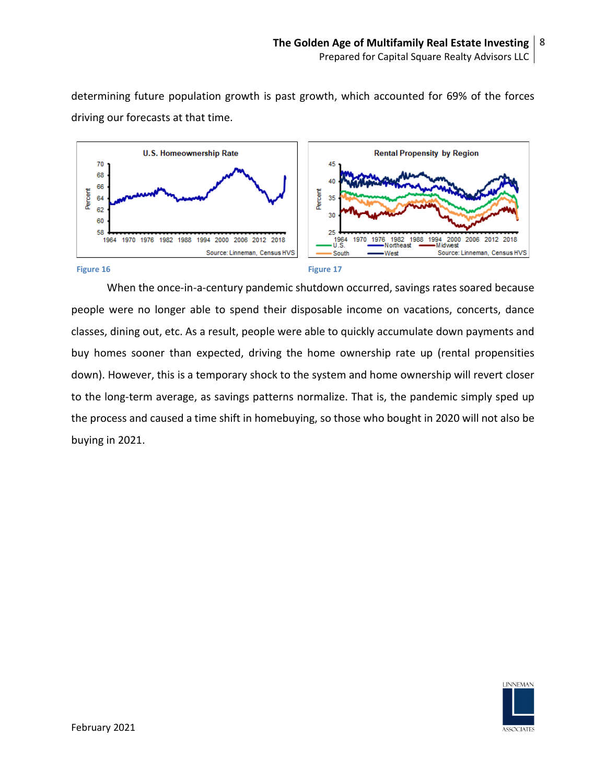determining future population growth is past growth, which accounted for 69% of the forces driving our forecasts at that time.



When the once-in-a-century pandemic shutdown occurred, savings rates soared because people were no longer able to spend their disposable income on vacations, concerts, dance classes, dining out, etc. As a result, people were able to quickly accumulate down payments and buy homes sooner than expected, driving the home ownership rate up (rental propensities down). However, this is a temporary shock to the system and home ownership will revert closer to the long-term average, as savings patterns normalize. That is, the pandemic simply sped up the process and caused a time shift in homebuying, so those who bought in 2020 will not also be buying in 2021.

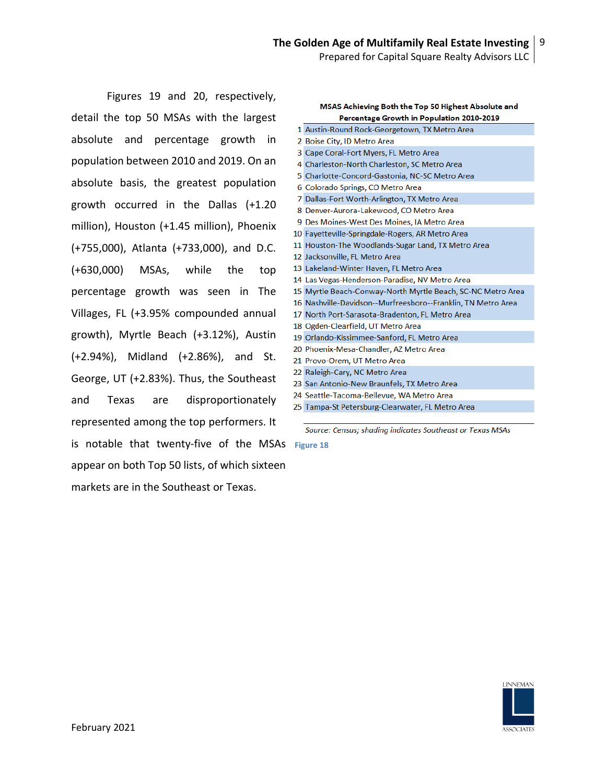Figures 19 and 20, respectively, detail the top 50 MSAs with the largest absolute and percentage growth in population between 2010 and 2019. On an absolute basis, the greatest population growth occurred in the Dallas (+1.20 million), Houston (+1.45 million), Phoenix (+755,000), Atlanta (+733,000), and D.C. (+630,000) MSAs, while the top percentage growth was seen in The Villages, FL (+3.95% compounded annual growth), Myrtle Beach (+3.12%), Austin (+2.94%), Midland (+2.86%), and St. George, UT (+2.83%). Thus, the Southeast and Texas are disproportionately represented among the top performers. It is notable that twenty-five of the MSAs **Figure 18**appear on both Top 50 lists, of which sixteen markets are in the Southeast or Texas.

MSAS Achieving Both the Top 50 Highest Absolute and Percentage Growth in Population 2010-2019 1 Austin-Round Rock-Georgetown, TX Metro Area 2 Boise City, ID Metro Area 3 Cape Coral-Fort Myers, FL Metro Area 4 Charleston-North Charleston, SC Metro Area 5 Charlotte-Concord-Gastonia, NC-SC Metro Area 6 Colorado Springs, CO Metro Area 7 Dallas-Fort Worth-Arlington, TX Metro Area 8 Denver-Aurora-Lakewood, CO Metro Area 9 Des Moines-West Des Moines, IA Metro Area 10 Fayetteville-Springdale-Rogers, AR Metro Area 11 Houston-The Woodlands-Sugar Land, TX Metro Area 12 Jacksonville, FL Metro Area 13 Lakeland-Winter Haven, FL Metro Area 14 Las Vegas-Henderson-Paradise, NV Metro Area 15 Myrtle Beach-Conway-North Myrtle Beach, SC-NC Metro Area 16 Nashville-Davidson--Murfreesboro--Franklin, TN Metro Area 17 North Port-Sarasota-Bradenton, FL Metro Area 18 Ogden-Clearfield, UT Metro Area 19 Orlando-Kissimmee-Sanford, FL Metro Area 20 Phoenix-Mesa-Chandler, AZ Metro Area 21 Provo-Orem, UT Metro Area 22 Raleigh-Cary, NC Metro Area 23 San Antonio-New Braunfels, TX Metro Area 24 Seattle-Tacoma-Bellevue, WA Metro Area 25 Tampa-St Petersburg-Clearwater, FL Metro Area

Source: Census; shading indicates Southeast or Texas MSAs

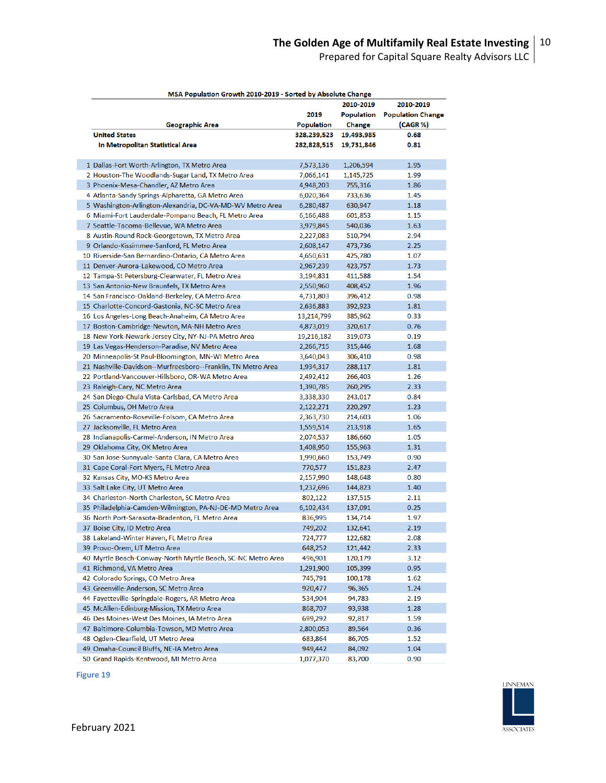Prepared for Capital Square Realty Advisors LLC

| MSA Population Growth 2010-2019 - Sorted by Absolute Change                                                          |                   |               |                          |  |
|----------------------------------------------------------------------------------------------------------------------|-------------------|---------------|--------------------------|--|
|                                                                                                                      |                   | 2010-2019     | 2010-2019                |  |
|                                                                                                                      | 2019              | Population    | <b>Population Change</b> |  |
| Geographic Area                                                                                                      | <b>Population</b> | <b>Change</b> | (CAGR %)                 |  |
| <b>United States</b>                                                                                                 | 328,239,523       | 19,493,985    | 0.68                     |  |
| In Metropolitan Statistical Area                                                                                     | 282,828,515       | 19,731,846    | 0.81                     |  |
|                                                                                                                      |                   |               |                          |  |
| 1 Dallas-Fort Worth-Arlington, TX Metro Area                                                                         | 7,573,136         | 1,206,594     | 1.95                     |  |
| 2 Houston-The Woodlands-Sugar Land, TX Metro Area                                                                    | 7,066,141         | 1,145,725     | 1.99                     |  |
| 3 Phoenix-Mesa-Chandler, AZ Metro Area                                                                               | 4,948,203         | 755,316       | 1.86                     |  |
| 4 Atlanta-Sandy Springs-Alpharetta, GA Metro Area                                                                    | 6,020,364         | 733,636       | 1.45                     |  |
| 5 Washington-Arlington-Alexandria, DC-VA-MD-WV Metro Area                                                            | 6,280,487         | 630,947       | 1.18                     |  |
| 6 Miami-Fort Lauderdale-Pompano Beach, FL Metro Area                                                                 | 6,166,488         | 601,853       | 1.15                     |  |
| 7 Seattle-Tacoma-Bellevue, WA Metro Area                                                                             | 3,979,845         | 540,036       | 1.63                     |  |
| 8 Austin-Round Rock-Georgetown, TX Metro Area                                                                        | 2,227,083         | 510,794       | 2.94                     |  |
| 9 Orlando-Kissimmee-Sanford, FL Metro Area                                                                           | 2,608,147         | 473,736       | 2.25                     |  |
| 10 Riverside-San Bernardino-Ontario, CA Metro Area                                                                   | 4,650,631         | 425,780       | 1.07                     |  |
| 11 Denver-Aurora-Lakewood, CO Metro Area                                                                             | 2,967,239         | 423,757       | 1.73                     |  |
| 12 Tampa-St Petersburg-Clearwater, FL Metro Area                                                                     | 3,194,831         | 411,588       | 1.54                     |  |
| 13 San Antonio-New Braunfels, TX Metro Area                                                                          | 2,550,960         | 408,452       | 1.96                     |  |
| 14 San Francisco-Oakland-Berkeley, CA Metro Area                                                                     | 4,731,803         | 396,412       | 0.98                     |  |
| 15 Charlotte-Concord-Gastonia, NC-SC Metro Area                                                                      | 2,636,883         | 392,923       | 1.81                     |  |
| 16 Los Angeles-Long Beach-Anaheim, CA Metro Area                                                                     | 13,214,799        | 385,962       | 0.33                     |  |
| 17 Boston-Cambridge-Newton, MA-NH Metro Area                                                                         | 4,873,019         | 320,617       | 0.76                     |  |
| 18 New York-Newark-Jersey City, NY-NJ-PA Metro Area                                                                  | 19,216,182        | 319,073       | 0.19                     |  |
| 19 Las Vegas-Henderson-Paradise, NV Metro Area                                                                       | 2,266,715         | 315,446       | 1.68                     |  |
|                                                                                                                      |                   |               | 0.98                     |  |
| 20 Minneapolis-St Paul-Bloomington, MN-WI Metro Area<br>21 Nashville-Davidson--Murfreesboro--Franklin, TN Metro Area | 3,640,043         | 306,410       |                          |  |
|                                                                                                                      | 1,934,317         | 288,117       | 1.81                     |  |
| 22 Portland-Vancouver-Hillsboro, OR-WA Metro Area                                                                    | 2,492,412         | 266,403       | 1.26                     |  |
| 23 Raleigh-Cary, NC Metro Area                                                                                       | 1,390,785         | 260,295       | 2.33                     |  |
| 24 San Diego-Chula Vista-Carlsbad, CA Metro Area                                                                     | 3,338,330         | 243,017       | 0.84                     |  |
| 25 Columbus, OH Metro Area                                                                                           | 2,122,271         | 220,297       | 1.23                     |  |
| 26 Sacramento-Roseville-Folsom, CA Metro Area                                                                        | 2,363,730         | 214,603       | 1.06                     |  |
| 27 Jacksonville, FL Metro Area                                                                                       | 1,559,514         | 213,918       | 1.65                     |  |
| 28 Indianapolis-Carmel-Anderson, IN Metro Area                                                                       | 2,074,537         | 186,660       | 1.05                     |  |
| 29 Oklahoma City, OK Metro Area                                                                                      | 1,408,950         | 155,963       | 1.31                     |  |
| 30 San Jose-Sunnyvale-Santa Clara, CA Metro Area                                                                     | 1,990,660         | 153,749       | 0.90                     |  |
| 31 Cape Coral-Fort Myers, FL Metro Area                                                                              | 770,577           | 151,823       | 2.47                     |  |
| 32 Kansas City, MO-KS Metro Area                                                                                     | 2,157,990         | 148,648       | 0.80                     |  |
| 33 Salt Lake City, UT Metro Area                                                                                     | 1,232,696         | 144,823       | 1.40                     |  |
| 34 Charleston-North Charleston, SC Metro Area                                                                        | 802,122           | 137,515       | 2.11                     |  |
| 35 Philadelphia-Camden-Wilmington, PA-NJ-DE-MD Metro Area                                                            | 6,102,434         | 137,091       | 0.25                     |  |
| 36 North Port-Sarasota-Bradenton, FL Metro Area                                                                      | 836,995           | 134,714       | 1.97                     |  |
| 37 Boise City, ID Metro Area                                                                                         | 749,202           | 132,641       | 2.19                     |  |
| 38 Lakeland-Winter Haven, FL Metro Area                                                                              | 724,777           | 122,682       | 2.08                     |  |
| 39 Provo-Orem, UT Metro Area                                                                                         | 648,252           | 121,442       | 2.33                     |  |
| 40 Myrtle Beach-Conway-North Myrtle Beach, SC-NC Metro Area                                                          | 496,901           | 120,179       | 3.12                     |  |
| 41 Richmond, VA Metro Area                                                                                           | 1,291,900         | 105,399       | 0.95                     |  |
| 42 Colorado Springs, CO Metro Area                                                                                   | 745,791           | 100,178       | 1.62                     |  |
| 43 Greenville-Anderson, SC Metro Area                                                                                | 920,477           | 96,365        | 1.24                     |  |
| 44 Fayetteville-Springdale-Rogers, AR Metro Area                                                                     | 534,904           | 94,783        | 2.19                     |  |
| 45 McAllen-Edinburg-Mission, TX Metro Area                                                                           | 868,707           | 93,938        | 1.28                     |  |
| 46 Des Moines-West Des Moines, IA Metro Area                                                                         | 699,292           | 92,817        | 1.59                     |  |
| 47 Baltimore-Columbia-Towson, MD Metro Area                                                                          | 2,800,053         | 89,564        | 0.36                     |  |
| 48 Ogden-Clearfield, UT Metro Area                                                                                   | 683,864           | 86,705        | 1.52                     |  |
| 49 Omaha-Council Bluffs, NE-IA Metro Area                                                                            | 949,442           | 84,092        | 1.04                     |  |
| 50 Grand Rapids-Kentwood, MI Metro Area                                                                              | 1,077,370         | 83,700        | 0.90                     |  |

**Figure 19**

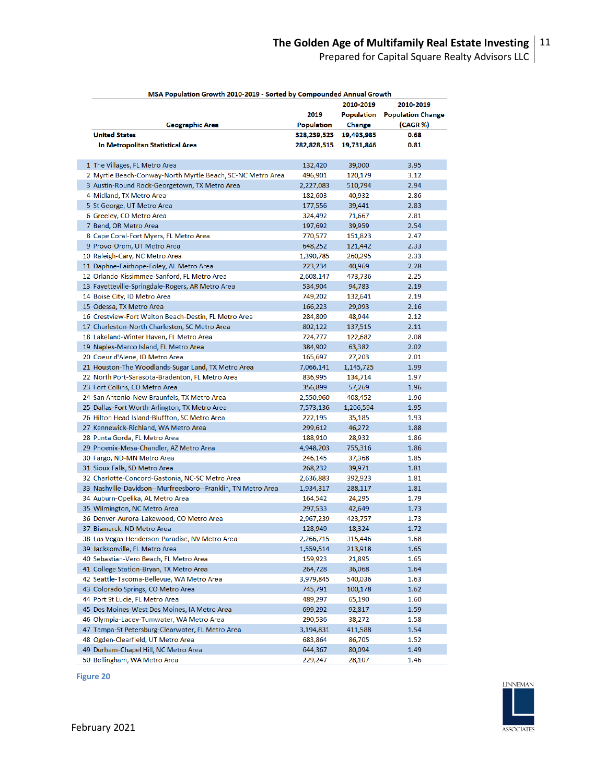Prepared for Capital Square Realty Advisors LLC

| MSA Population Growth 2010-2019 - Sorted by Compounded Annual Growth |             |            |                          |
|----------------------------------------------------------------------|-------------|------------|--------------------------|
|                                                                      |             | 2010-2019  | 2010-2019                |
|                                                                      | 2019        | Population | <b>Population Change</b> |
| Geographic Area                                                      | Population  | Change     | (CAGR %)                 |
| <b>United States</b>                                                 | 328,239,523 | 19,493,985 | 0.68                     |
| In Metropolitan Statistical Area                                     | 282,828,515 | 19,731,846 | 0.81                     |
| 1 The Villages, FL Metro Area                                        | 132,420     | 39,000     | 3.95                     |
| 2 Myrtle Beach-Conway-North Myrtle Beach, SC-NC Metro Area           | 496,901     | 120,179    | 3.12                     |
| 3 Austin-Round Rock-Georgetown, TX Metro Area                        | 2,227,083   | 510,794    | 2.94                     |
| 4 Midland, TX Metro Area                                             | 182,603     | 40,932     | 2.86                     |
| 5 St George, UT Metro Area                                           | 177,556     | 39,441     | 2.83                     |
| 6 Greeley, CO Metro Area                                             | 324,492     | 71,667     | 2.81                     |
| 7 Bend, OR Metro Area                                                | 197,692     | 39,959     | 2.54                     |
| 8 Cape Coral-Fort Myers, FL Metro Area                               | 770,577     | 151,823    | 2.47                     |
| 9 Provo-Orem, UT Metro Area                                          | 648,252     | 121,442    | 2.33                     |
| 10 Raleigh-Cary, NC Metro Area                                       | 1,390,785   | 260,295    | 2.33                     |
| 11 Daphne-Fairhope-Foley, AL Metro Area                              | 223,234     | 40,969     | 2.28                     |
| 12 Orlando-Kissimmee-Sanford, FL Metro Area                          | 2,608,147   | 473,736    | 2.25                     |
| 13 Fayetteville-Springdale-Rogers, AR Metro Area                     | 534,904     | 94,783     | 2.19                     |
| 14 Boise City, ID Metro Area                                         | 749,202     | 132,641    | 2.19                     |
| 15 Odessa, TX Metro Area                                             | 166,223     | 29,093     | 2.16                     |
| 16 Crestview-Fort Walton Beach-Destin, FL Metro Area                 | 284,809     | 48,944     | 2.12                     |
| 17 Charleston-North Charleston, SC Metro Area                        | 802,122     | 137,515    | 2.11                     |
| 18 Lakeland-Winter Haven, FL Metro Area                              | 724,777     | 122,682    | 2.08                     |
| 19 Naples-Marco Island, FL Metro Area                                | 384,902     | 63,382     | 2.02                     |
| 20 Coeur d'Alene, ID Metro Area                                      | 165,697     | 27,203     | 2.01                     |
| 21 Houston-The Woodlands-Sugar Land, TX Metro Area                   | 7,066,141   | 1,145,725  | 1.99                     |
| 22 North Port-Sarasota-Bradenton, FL Metro Area                      | 836,995     | 134,714    | 1.97                     |
| 23 Fort Collins, CO Metro Area                                       | 356,899     | 57,269     | 1.96                     |
| 24 San Antonio-New Braunfels, TX Metro Area                          | 2,550,960   | 408,452    | 1.96                     |
| 25 Dallas-Fort Worth-Arlington, TX Metro Area                        | 7,573,136   | 1,206,594  | 1.95                     |
| 26 Hilton Head Island-Bluffton, SC Metro Area                        | 222,195     | 35,185     | 1.93                     |
| 27 Kennewick-Richland, WA Metro Area                                 | 299,612     | 46,272     | 1.88                     |
| 28 Punta Gorda, FL Metro Area                                        | 188,910     | 28,932     | 1.86                     |
| 29 Phoenix-Mesa-Chandler, AZ Metro Area                              | 4,948,203   | 755,316    | 1.86                     |
| 30 Fargo, ND-MN Metro Area                                           | 246,145     | 37,368     | 1.85                     |
| 31 Sioux Falls, SD Metro Area                                        | 268,232     | 39,971     | 1.81                     |
| 32 Charlotte-Concord-Gastonia, NC-SC Metro Area                      | 2,636,883   | 392,923    | 1.81                     |
| 33 Nashville-Davidson--Murfreesboro--Franklin, TN Metro Area         | 1,934,317   | 288,117    | 1.81                     |
| 34 Auburn-Opelika, AL Metro Area                                     | 164,542     | 24,295     | 1.79                     |
| 35 Wilmington, NC Metro Area                                         | 297,533     | 42,649     | 1.73                     |
| 36 Denver-Aurora-Lakewood, CO Metro Area                             | 2,967,239   | 423,757    | 1.73                     |
| 37 Bismarck, ND Metro Area                                           | 128,949     | 18,324     | 1.72                     |
| 38 Las Vegas-Henderson-Paradise, NV Metro Area                       | 2,266,715   | 315,446    | 1.68                     |
| 39 Jacksonville, FL Metro Area                                       | 1,559,514   | 213,918    | 1.65                     |
| 40 Sebastian-Vero Beach, FL Metro Area                               | 159,923     | 21,895     | 1.65                     |
| 41 College Station-Bryan, TX Metro Area                              | 264,728     | 36,068     | 1.64                     |
| 42 Seattle-Tacoma-Bellevue, WA Metro Area                            | 3,979,845   | 540,036    | 1.63                     |
| 43 Colorado Springs, CO Metro Area                                   | 745,791     | 100,178    | 1.62                     |
| 44 Port St Lucie, FL Metro Area                                      | 489,297     | 65,190     | 1.60                     |
| 45 Des Moines-West Des Moines, IA Metro Area                         | 699,292     | 92,817     | 1.59                     |
| 46 Olympia-Lacey-Tumwater, WA Metro Area                             | 290,536     | 38,272     | 1.58                     |
| 47 Tampa-St Petersburg-Clearwater, FL Metro Area                     | 3,194,831   | 411,588    | 1.54                     |
| 48 Ogden-Clearfield, UT Metro Area                                   | 683,864     | 86,705     | 1.52                     |
| 49 Durham-Chapel Hill, NC Metro Area                                 | 644,367     | 80,094     | 1.49                     |
| 50 Bellingham WA Metro Area                                          | 229.247     | 28.107     | 1.46                     |

**Figure 20**

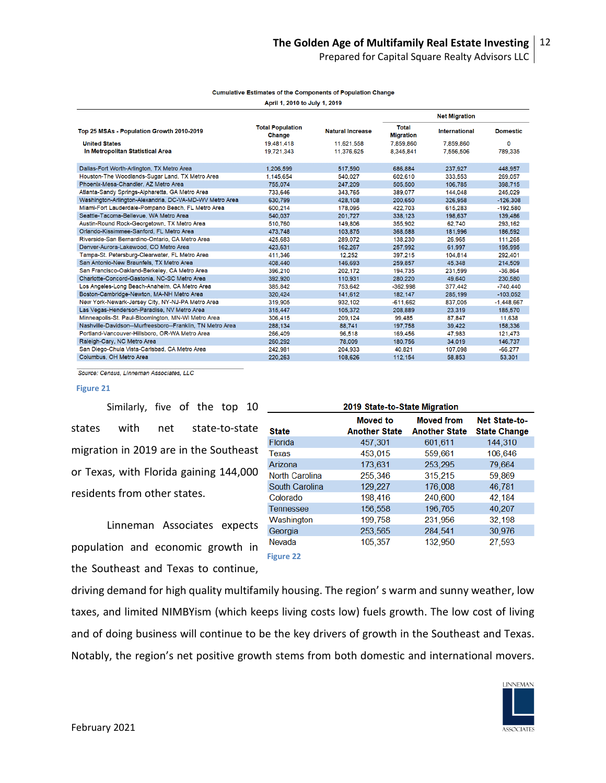|                                                           | April 1, 2010 to July 1, 2019     |                         |                                  |                      |                 |  |
|-----------------------------------------------------------|-----------------------------------|-------------------------|----------------------------------|----------------------|-----------------|--|
|                                                           |                                   |                         | <b>Net Migration</b>             |                      |                 |  |
| Top 25 MSAs - Population Growth 2010-2019                 | <b>Total Population</b><br>Change | <b>Natural Increase</b> | <b>Total</b><br><b>Migration</b> | <b>International</b> | <b>Domestic</b> |  |
| <b>United States</b>                                      | 19.481.418                        | 11,621,558              | 7,859,860                        | 7,859,860            | 0               |  |
| In Metropolitan Statistical Area                          | 19.721.343                        | 11.376,625              | 8,345,841                        | 7.556.506            | 789.335         |  |
| Dallas-Fort Worth-Arlington, TX Metro Area                | 1,206,599                         | 517,590                 | 686,884                          | 237,927              | 448.957         |  |
| Houston-The Woodlands-Sugar Land, TX Metro Area           | 1.145.654                         | 540.027                 | 602,610                          | 333,553              | 269.057         |  |
| Phoenix-Mesa-Chandler, AZ Metro Area                      | 755,074                           | 247.209                 | 505,500                          | 106,785              | 398.715         |  |
| Atlanta-Sandy Springs-Alpharetta, GA Metro Area           | 733,646                           | 343.765                 | 389.077                          | 144.048              | 245.029         |  |
| Washington-Arlington-Alexandria, DC-VA-MD-WV Metro Area   | 630.799                           | 428,108                 | 200,650                          | 326.958              | $-126,308$      |  |
| Miami-Fort Lauderdale-Pompano Beach, FL Metro Area        | 600.214                           | 178.095                 | 422.703                          | 615,283              | $-192.580$      |  |
| Seattle-Tacoma-Bellevue, WA Metro Area                    | 540,037                           | 201,727                 | 338,123                          | 198,637              | 139,486         |  |
| Austin-Round Rock-Georgetown, TX Metro Area               | 510,760                           | 149,806                 | 355,902                          | 62,740               | 293.162         |  |
| Orlando-Kissimmee-Sanford, FL Metro Area                  | 473,748                           | 103.875                 | 368,588                          | 181.996              | 186.592         |  |
| Riverside-San Bernardino-Ontario, CA Metro Area           | 425,683                           | 289.072                 | 138,230                          | 26.965               | 111.265         |  |
| Denver-Aurora-Lakewood, CO Metro Area                     | 423.631                           | 162.267                 | 257.992                          | 61.997               | 195.995         |  |
| Tampa-St. Petersburg-Clearwater, FL Metro Area            | 411,346                           | 12,252                  | 397,215                          | 104,814              | 292,401         |  |
| San Antonio-New Braunfels, TX Metro Area                  | 408,440                           | 146,693                 | 259.857                          | 45.348               | 214,509         |  |
| San Francisco-Oakland-Berkeley, CA Metro Area             | 396,210                           | 202.172                 | 194.735                          | 231,599              | $-36.864$       |  |
| Charlotte-Concord-Gastonia, NC-SC Metro Area              | 392,920                           | 110.931                 | 280,220                          | 49.640               | 230,580         |  |
| Los Angeles-Long Beach-Anaheim, CA Metro Area             | 385,842                           | 753.642                 | $-362.998$                       | 377.442              | $-740.440$      |  |
| Boston-Cambridge-Newton, MA-NH Metro Area                 | 320.424                           | 141.612                 | 182.147                          | 285.199              | $-103,052$      |  |
| New York-Newark-Jersey City, NY-NJ-PA Metro Area          | 319,905                           | 932,102                 | $-611,662$                       | 837,005              | $-1,448,667$    |  |
| Las Vegas-Henderson-Paradise, NV Metro Area               | 315,447                           | 105,372                 | 208,889                          | 23,319               | 185,570         |  |
| Minneapolis-St. Paul-Bloomington, MN-WI Metro Area        | 306,415                           | 209.124                 | 99.485                           | 87.847               | 11,638          |  |
| Nashville-Davidson--Murfreesboro--Franklin, TN Metro Area | 288,134                           | 88,741                  | 197,758                          | 39.422               | 158,336         |  |
| Portland-Vancouver-Hillsboro, OR-WA Metro Area            | 266,409                           | 96.518                  | 169.456                          | 47.983               | 121.473         |  |
| Raleigh-Cary, NC Metro Area                               | 260,292                           | 78,009                  | 180,756                          | 34,019               | 146,737         |  |
| San Diego-Chula Vista-Carlsbad, CA Metro Area             | 242.981                           | 204.933                 | 40.821                           | 107,098              | $-66,277$       |  |
| Columbus, OH Metro Area                                   | 220,263                           | 108,626                 | 112,154                          | 58,853               | 53,301          |  |

#### **Cumulative Estimates of the Components of Population Change**

Source: Census, Linneman Associates, LLC

#### **Figure 21**

Similarly, five of the top 10 \_ states with net state-to-state migration in 2019 are in the Southeast or Texas, with Florida gaining 144,000 residents from other states.

Linneman Associates expects population and economic growth in the Southeast and Texas to continue,

|                  | 2019 State-to-State Migration           |                                           |                                      |  |  |  |  |
|------------------|-----------------------------------------|-------------------------------------------|--------------------------------------|--|--|--|--|
| <b>State</b>     | <b>Moved</b> to<br><b>Another State</b> | <b>Moved from</b><br><b>Another State</b> | Net State-to-<br><b>State Change</b> |  |  |  |  |
|                  |                                         |                                           |                                      |  |  |  |  |
| <b>Florida</b>   | 457,301                                 | 601,611                                   | 144,310                              |  |  |  |  |
| <b>Texas</b>     | 453,015                                 | 559,661                                   | 106,646                              |  |  |  |  |
| Arizona          | 173,631                                 | 253,295                                   | 79.664                               |  |  |  |  |
| North Carolina   | 255,346                                 | 315,215                                   | 59.869                               |  |  |  |  |
| South Carolina   | 129,227                                 | 176,008                                   | 46,781                               |  |  |  |  |
| Colorado         | 198,416                                 | 240,600                                   | 42,184                               |  |  |  |  |
| <b>Tennessee</b> | 156,558                                 | 196,765                                   | 40.207                               |  |  |  |  |
| Washington       | 199,758                                 | 231,956                                   | 32,198                               |  |  |  |  |
| Georgia          | 253,565                                 | 284,541                                   | 30.976                               |  |  |  |  |
| Nevada           | 105,357                                 | 132,950                                   | 27,593                               |  |  |  |  |
| <b>Figure 22</b> |                                         |                                           |                                      |  |  |  |  |

driving demand for high quality multifamily housing. The region' s warm and sunny weather, low taxes, and limited NIMBYism (which keeps living costs low) fuels growth. The low cost of living and of doing business will continue to be the key drivers of growth in the Southeast and Texas. Notably, the region's net positive growth stems from both domestic and international movers.

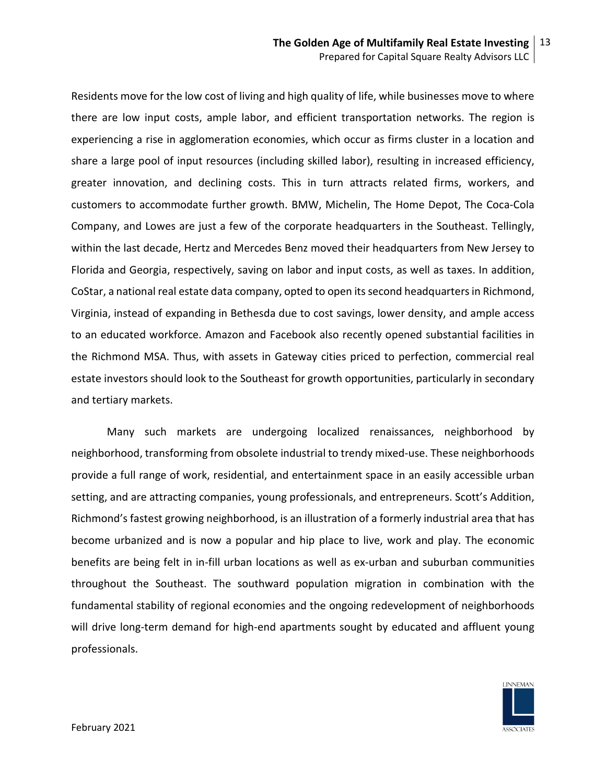Residents move for the low cost of living and high quality of life, while businesses move to where there are low input costs, ample labor, and efficient transportation networks. The region is experiencing a rise in agglomeration economies, which occur as firms cluster in a location and share a large pool of input resources (including skilled labor), resulting in increased efficiency, greater innovation, and declining costs. This in turn attracts related firms, workers, and customers to accommodate further growth. BMW, Michelin, The Home Depot, The Coca-Cola Company, and Lowes are just a few of the corporate headquarters in the Southeast. Tellingly, within the last decade, Hertz and Mercedes Benz moved their headquarters from New Jersey to Florida and Georgia, respectively, saving on labor and input costs, as well as taxes. In addition, CoStar, a national real estate data company, opted to open itssecond headquarters in Richmond, Virginia, instead of expanding in Bethesda due to cost savings, lower density, and ample access to an educated workforce. Amazon and Facebook also recently opened substantial facilities in the Richmond MSA. Thus, with assets in Gateway cities priced to perfection, commercial real estate investors should look to the Southeast for growth opportunities, particularly in secondary and tertiary markets.

Many such markets are undergoing localized renaissances, neighborhood by neighborhood, transforming from obsolete industrial to trendy mixed-use. These neighborhoods provide a full range of work, residential, and entertainment space in an easily accessible urban setting, and are attracting companies, young professionals, and entrepreneurs. Scott's Addition, Richmond's fastest growing neighborhood, is an illustration of a formerly industrial area that has become urbanized and is now a popular and hip place to live, work and play. The economic benefits are being felt in in-fill urban locations as well as ex-urban and suburban communities throughout the Southeast. The southward population migration in combination with the fundamental stability of regional economies and the ongoing redevelopment of neighborhoods will drive long-term demand for high-end apartments sought by educated and affluent young professionals.

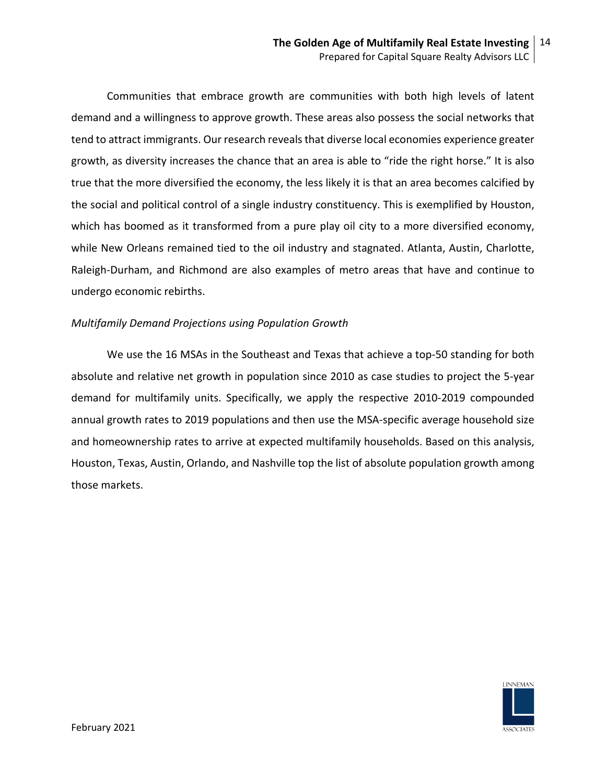Communities that embrace growth are communities with both high levels of latent demand and a willingness to approve growth. These areas also possess the social networks that tend to attract immigrants. Our research reveals that diverse local economies experience greater growth, as diversity increases the chance that an area is able to "ride the right horse." It is also true that the more diversified the economy, the less likely it is that an area becomes calcified by the social and political control of a single industry constituency. This is exemplified by Houston, which has boomed as it transformed from a pure play oil city to a more diversified economy, while New Orleans remained tied to the oil industry and stagnated. Atlanta, Austin, Charlotte, Raleigh-Durham, and Richmond are also examples of metro areas that have and continue to undergo economic rebirths.

# *Multifamily Demand Projections using Population Growth*

We use the 16 MSAs in the Southeast and Texas that achieve a top-50 standing for both absolute and relative net growth in population since 2010 as case studies to project the 5-year demand for multifamily units. Specifically, we apply the respective 2010-2019 compounded annual growth rates to 2019 populations and then use the MSA-specific average household size and homeownership rates to arrive at expected multifamily households. Based on this analysis, Houston, Texas, Austin, Orlando, and Nashville top the list of absolute population growth among those markets.

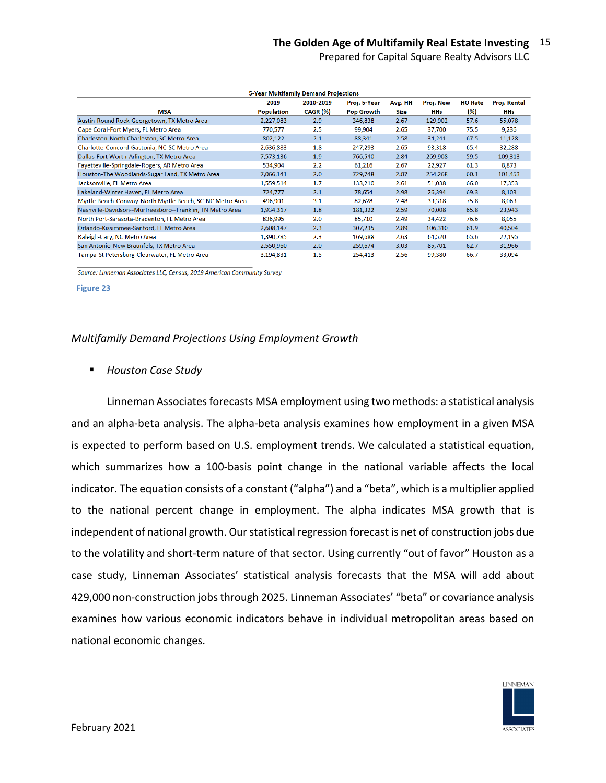Prepared for Capital Square Realty Advisors LLC

| 5-Year Multifamily Demand Projections                     |                   |           |                   |         |           |                |              |
|-----------------------------------------------------------|-------------------|-----------|-------------------|---------|-----------|----------------|--------------|
|                                                           | 2019              | 2010-2019 | Proj. 5-Year      | Avg. HH | Proj. New | <b>HO Rate</b> | Proj. Rental |
| <b>MSA</b>                                                | <b>Population</b> | CAGR (%)  | <b>Pop Growth</b> | Size    | HHs       | (%)            | HHs          |
| Austin-Round Rock-Georgetown, TX Metro Area               | 2,227,083         | 2.9       | 346,838           | 2.67    | 129,902   | 57.6           | 55,078       |
| Cape Coral-Fort Myers, FL Metro Area                      | 770,577           | 2.5       | 99,904            | 2.65    | 37,700    | 75.5           | 9,236        |
| Charleston-North Charleston, SC Metro Area                | 802,122           | 2.1       | 88,341            | 2.58    | 34,241    | 67.5           | 11,128       |
| Charlotte-Concord-Gastonia, NC-SC Metro Area              | 2,636,883         | 1.8       | 247,293           | 2.65    | 93,318    | 65.4           | 32,288       |
| Dallas-Fort Worth-Arlington, TX Metro Area                | 7,573,136         | 1.9       | 766,540           | 2.84    | 269,908   | 59.5           | 109,313      |
| Fayetteville-Springdale-Rogers, AR Metro Area             | 534,904           | 2.2       | 61,216            | 2.67    | 22,927    | 61.3           | 8,873        |
| Houston-The Woodlands-Sugar Land, TX Metro Area           | 7,066,141         | 2.0       | 729,748           | 2.87    | 254,268   | 60.1           | 101,453      |
| Jacksonville, FL Metro Area                               | 1,559,514         | 1.7       | 133,210           | 2.61    | 51,038    | 66.0           | 17,353       |
| Lakeland-Winter Haven, FL Metro Area                      | 724,777           | 2.1       | 78,654            | 2.98    | 26,394    | 69.3           | 8,103        |
| Myrtle Beach-Conway-North Myrtle Beach, SC-NC Metro Area  | 496,901           | 3.1       | 82,628            | 2.48    | 33,318    | 75.8           | 8,063        |
| Nashville-Davidson--Murfreesboro--Franklin, TN Metro Area | 1,934,317         | 1.8       | 181,322           | 2.59    | 70,008    | 65.8           | 23,943       |
| North Port-Sarasota-Bradenton, FL Metro Area              | 836,995           | 2.0       | 85,710            | 2.49    | 34,422    | 76.6           | 8,055        |
| Orlando-Kissimmee-Sanford, FL Metro Area                  | 2,608,147         | 2.3       | 307,235           | 2.89    | 106,310   | 61.9           | 40,504       |
| Raleigh-Cary, NC Metro Area                               | 1,390,785         | 2.3       | 169,688           | 2.63    | 64,520    | 65.6           | 22,195       |
| San Antonio-New Braunfels, TX Metro Area                  | 2,550,960         | 2.0       | 259,674           | 3.03    | 85,701    | 62.7           | 31,966       |
| Tampa-St Petersburg-Clearwater, FL Metro Area             | 3,194,831         | 1.5       | 254,413           | 2.56    | 99,380    | 66.7           | 33,094       |

Source: Linneman Associates LLC, Census, 2019 American Community Survey

**Figure 23**

### *Multifamily Demand Projections Using Employment Growth*

*Houston Case Study*

Linneman Associates forecasts MSA employment using two methods: a statistical analysis and an alpha-beta analysis. The alpha-beta analysis examines how employment in a given MSA is expected to perform based on U.S. employment trends. We calculated a statistical equation, which summarizes how a 100-basis point change in the national variable affects the local indicator. The equation consists of a constant ("alpha") and a "beta", which is a multiplier applied to the national percent change in employment. The alpha indicates MSA growth that is independent of national growth. Our statistical regression forecast is net of construction jobs due to the volatility and short-term nature of that sector. Using currently "out of favor" Houston as a case study, Linneman Associates' statistical analysis forecasts that the MSA will add about 429,000 non-construction jobs through 2025. Linneman Associates' "beta" or covariance analysis examines how various economic indicators behave in individual metropolitan areas based on national economic changes.

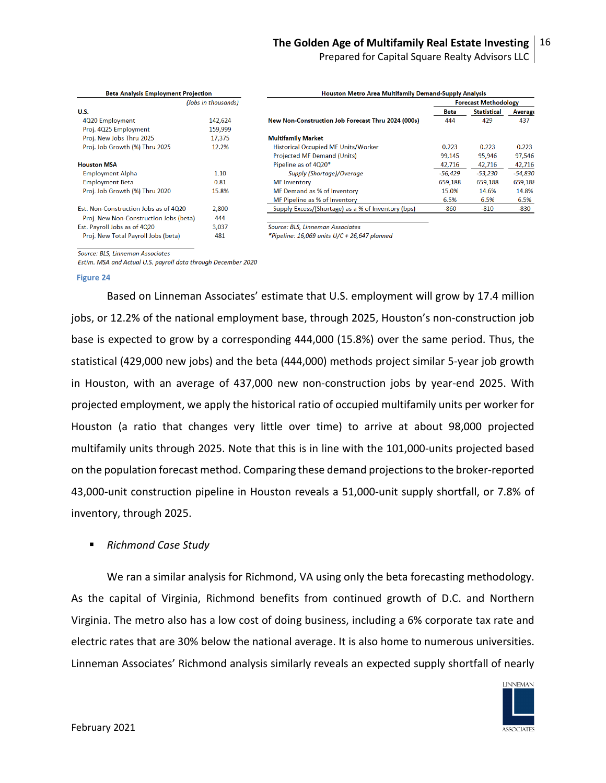Prepared for Capital Square Realty Advisors LLC

| <b>Beta Analysis Employment Projection</b> |                     | <b>Houston Metro Area Multifamily Demand-Supply Analysis</b> |             |                             |           |
|--------------------------------------------|---------------------|--------------------------------------------------------------|-------------|-----------------------------|-----------|
|                                            | (Jobs in thousands) |                                                              |             | <b>Forecast Methodology</b> |           |
| <b>U.S.</b>                                |                     |                                                              | <b>Beta</b> | <b>Statistical</b>          | Average   |
| 4Q20 Employment                            | 142,624             | New Non-Construction Job Forecast Thru 2024 (000s)           | 444         | 429                         | 437       |
| Proj. 4Q25 Employment                      | 159,999             |                                                              |             |                             |           |
| Proj. New Jobs Thru 2025                   | 17,375              | <b>Multifamily Market</b>                                    |             |                             |           |
| Proj. Job Growth (%) Thru 2025             | 12.2%               | Historical Occupied MF Units/Worker                          | 0.223       | 0.223                       | 0.223     |
|                                            |                     | <b>Projected MF Demand (Units)</b>                           | 99,145      | 95,946                      | 97,546    |
| <b>Houston MSA</b>                         |                     | Pipeline as of 4Q20*                                         | 42,716      | 42,716                      | 42,716    |
| <b>Employment Alpha</b>                    | 1.10                | Supply (Shortage)/Overage                                    | $-56,429$   | -53,230                     | $-54,830$ |
| <b>Employment Beta</b>                     | 0.81                | <b>MF</b> Inventory                                          | 659,188     | 659,188                     | 659,188   |
| Proj. Job Growth (%) Thru 2020             | 15.8%               | MF Demand as % of Inventory                                  | 15.0%       | 14.6%                       | 14.8%     |
|                                            |                     | MF Pipeline as % of Inventory                                | 6.5%        | 6.5%                        | 6.5%      |
| Est. Non-Construction Jobs as of 4020      | 2,800               | Supply Excess/(Shortage) as a % of Inventory (bps)           | $-860$      | $-810$                      | -830      |
| Proj. New Non-Construction Jobs (beta)     | 444                 |                                                              |             |                             |           |
| Est. Payroll Jobs as of 4Q20               | 3,037               | Source: BLS, Linneman Associates                             |             |                             |           |
| Proj. New Total Payroll Jobs (beta)        | 481                 | *Pipeline: 16,069 units U/C + 26,647 planned                 |             |                             |           |

\*Pipeline: 16,069 units U/C + 26,647 planned

Source: BLS, Linneman Associates

Estim. MSA and Actual U.S. payroll data through December 2020

**Figure 24**

Based on Linneman Associates' estimate that U.S. employment will grow by 17.4 million jobs, or 12.2% of the national employment base, through 2025, Houston's non-construction job base is expected to grow by a corresponding 444,000 (15.8%) over the same period. Thus, the statistical (429,000 new jobs) and the beta (444,000) methods project similar 5-year job growth in Houston, with an average of 437,000 new non-construction jobs by year-end 2025. With projected employment, we apply the historical ratio of occupied multifamily units per worker for Houston (a ratio that changes very little over time) to arrive at about 98,000 projected multifamily units through 2025. Note that this is in line with the 101,000-units projected based on the population forecast method. Comparing these demand projections to the broker-reported 43,000-unit construction pipeline in Houston reveals a 51,000-unit supply shortfall, or 7.8% of inventory, through 2025.

### *Richmond Case Study*

We ran a similar analysis for Richmond, VA using only the beta forecasting methodology. As the capital of Virginia, Richmond benefits from continued growth of D.C. and Northern Virginia. The metro also has a low cost of doing business, including a 6% corporate tax rate and electric rates that are 30% below the national average. It is also home to numerous universities. Linneman Associates' Richmond analysis similarly reveals an expected supply shortfall of nearly

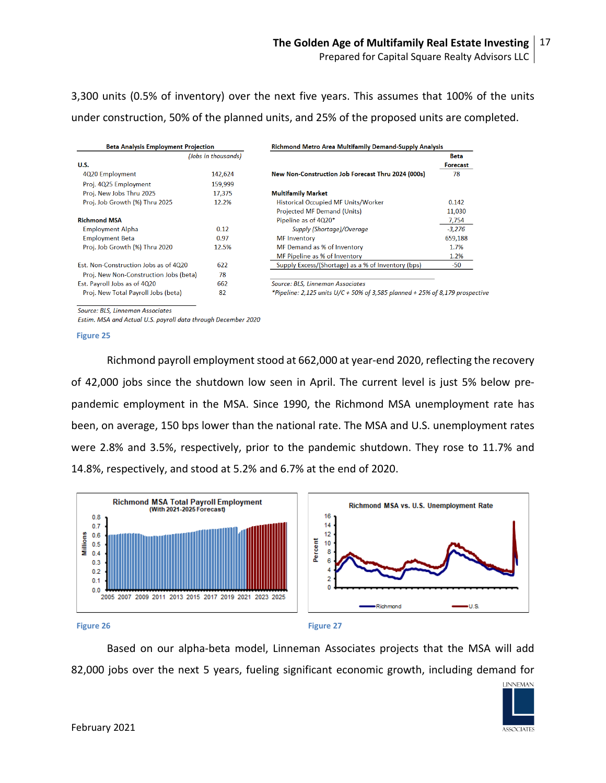3,300 units (0.5% of inventory) over the next five years. This assumes that 100% of the units under construction, 50% of the planned units, and 25% of the proposed units are completed.

| <b>Beta Analysis Employment Projection</b> |                     | <b>Richmond Metro Area Multifamily Demand-Supply Analysis</b>                |             |  |
|--------------------------------------------|---------------------|------------------------------------------------------------------------------|-------------|--|
|                                            | (Jobs in thousands) |                                                                              | <b>Beta</b> |  |
| U.S.                                       |                     |                                                                              | Forecast    |  |
| 4Q20 Employment                            | 142,624             | New Non-Construction Job Forecast Thru 2024 (000s)                           | 78          |  |
| Proj. 4Q25 Employment                      | 159,999             |                                                                              |             |  |
| Proj. New Jobs Thru 2025                   | 17,375              | <b>Multifamily Market</b>                                                    |             |  |
| Proj. Job Growth (%) Thru 2025             | 12.2%               | <b>Historical Occupied MF Units/Worker</b>                                   | 0.142       |  |
|                                            |                     | Projected MF Demand (Units)                                                  | 11,030      |  |
| <b>Richmond MSA</b>                        |                     | Pipeline as of 4Q20*                                                         | 7,754       |  |
| <b>Employment Alpha</b>                    | 0.12                | Supply (Shortage)/Overage                                                    | $-3,276$    |  |
| <b>Employment Beta</b>                     | 0.97                | <b>MF</b> Inventory                                                          | 659,188     |  |
| Proj. Job Growth (%) Thru 2020             | 12.5%               | MF Demand as % of Inventory                                                  | 1.7%        |  |
|                                            |                     | MF Pipeline as % of Inventory                                                | 1.2%        |  |
| Est. Non-Construction Jobs as of 4Q20      | 622                 | Supply Excess/(Shortage) as a % of Inventory (bps)                           | -50         |  |
| Proj. New Non-Construction Jobs (beta)     | 78                  |                                                                              |             |  |
| Est. Payroll Jobs as of 4Q20               | 662                 | Source: BLS, Linneman Associates                                             |             |  |
| Proj. New Total Payroll Jobs (beta)        | 82                  | *Pipeline: 2,125 units U/C + 50% of 3,585 planned + 25% of 8,179 prospective |             |  |

Source: BLS, Linneman Associates

Estim. MSA and Actual U.S. payroll data through December 2020

**Figure 25**

Richmond payroll employment stood at 662,000 at year-end 2020, reflecting the recovery of 42,000 jobs since the shutdown low seen in April. The current level is just 5% below prepandemic employment in the MSA. Since 1990, the Richmond MSA unemployment rate has been, on average, 150 bps lower than the national rate. The MSA and U.S. unemployment rates were 2.8% and 3.5%, respectively, prior to the pandemic shutdown. They rose to 11.7% and 14.8%, respectively, and stood at 5.2% and 6.7% at the end of 2020.



**Figure 26 Figure 27**

Based on our alpha-beta model, Linneman Associates projects that the MSA will add 82,000 jobs over the next 5 years, fueling significant economic growth, including demand for

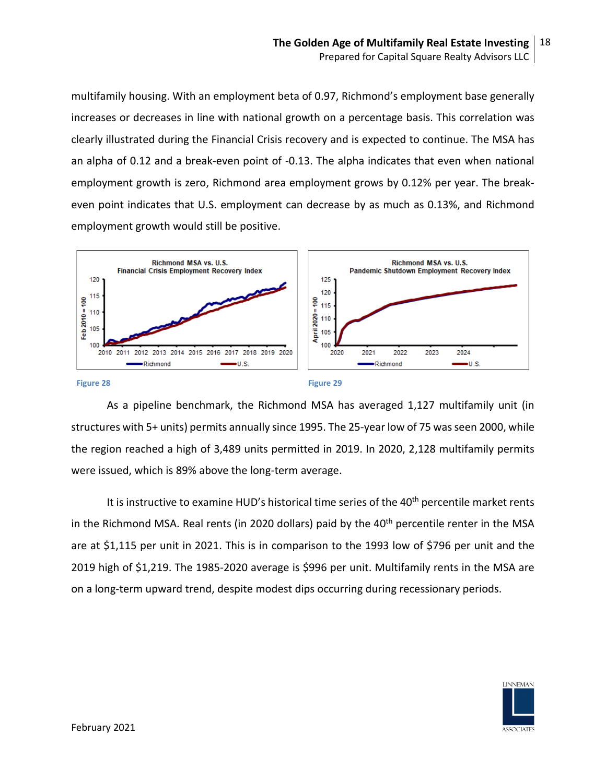multifamily housing. With an employment beta of 0.97, Richmond's employment base generally increases or decreases in line with national growth on a percentage basis. This correlation was clearly illustrated during the Financial Crisis recovery and is expected to continue. The MSA has an alpha of 0.12 and a break-even point of -0.13. The alpha indicates that even when national employment growth is zero, Richmond area employment grows by 0.12% per year. The breakeven point indicates that U.S. employment can decrease by as much as 0.13%, and Richmond employment growth would still be positive.



As a pipeline benchmark, the Richmond MSA has averaged 1,127 multifamily unit (in structures with 5+ units) permits annually since 1995. The 25-year low of 75 was seen 2000, while the region reached a high of 3,489 units permitted in 2019. In 2020, 2,128 multifamily permits were issued, which is 89% above the long-term average.

It is instructive to examine HUD's historical time series of the 40<sup>th</sup> percentile market rents in the Richmond MSA. Real rents (in 2020 dollars) paid by the 40<sup>th</sup> percentile renter in the MSA are at \$1,115 per unit in 2021. This is in comparison to the 1993 low of \$796 per unit and the 2019 high of \$1,219. The 1985-2020 average is \$996 per unit. Multifamily rents in the MSA are on a long-term upward trend, despite modest dips occurring during recessionary periods.

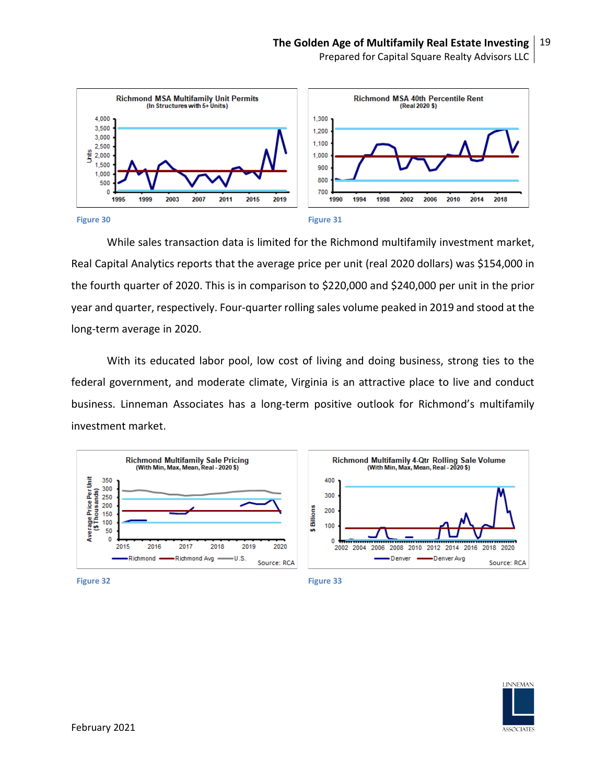

While sales transaction data is limited for the Richmond multifamily investment market, Real Capital Analytics reports that the average price per unit (real 2020 dollars) was \$154,000 in the fourth quarter of 2020. This is in comparison to \$220,000 and \$240,000 per unit in the prior year and quarter, respectively. Four-quarter rolling sales volume peaked in 2019 and stood at the long-term average in 2020.

With its educated labor pool, low cost of living and doing business, strong ties to the federal government, and moderate climate, Virginia is an attractive place to live and conduct business. Linneman Associates has a long-term positive outlook for Richmond's multifamily investment market.





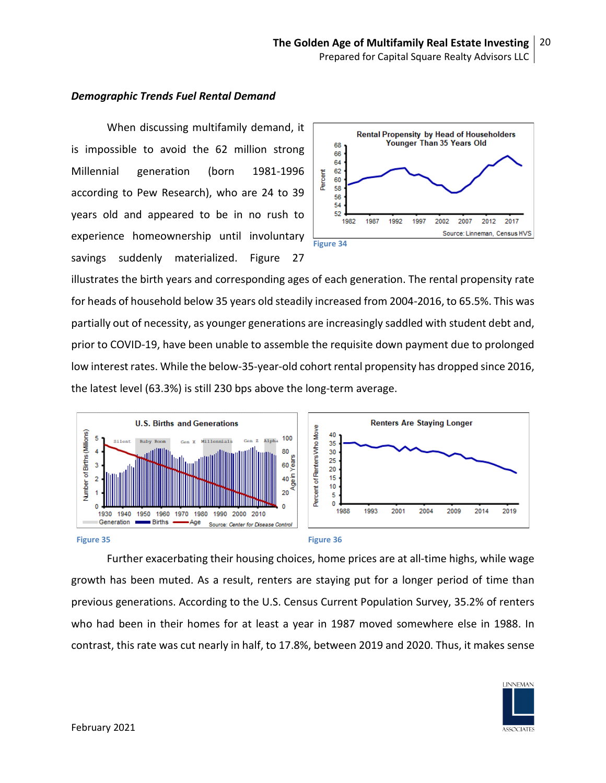## *Demographic Trends Fuel Rental Demand*

When discussing multifamily demand, it is impossible to avoid the 62 million strong Millennial generation (born 1981-1996 according to Pew Research), who are 24 to 39 years old and appeared to be in no rush to experience homeownership until involuntary savings suddenly materialized. Figure 27



illustrates the birth years and corresponding ages of each generation. The rental propensity rate for heads of household below 35 years old steadily increased from 2004-2016, to 65.5%. This was partially out of necessity, as younger generations are increasingly saddled with student debt and, prior to COVID-19, have been unable to assemble the requisite down payment due to prolonged low interest rates. While the below-35-year-old cohort rental propensity has dropped since 2016, the latest level (63.3%) is still 230 bps above the long-term average.



Further exacerbating their housing choices, home prices are at all-time highs, while wage growth has been muted. As a result, renters are staying put for a longer period of time than previous generations. According to the U.S. Census Current Population Survey, 35.2% of renters who had been in their homes for at least a year in 1987 moved somewhere else in 1988. In contrast, this rate was cut nearly in half, to 17.8%, between 2019 and 2020. Thus, it makes sense

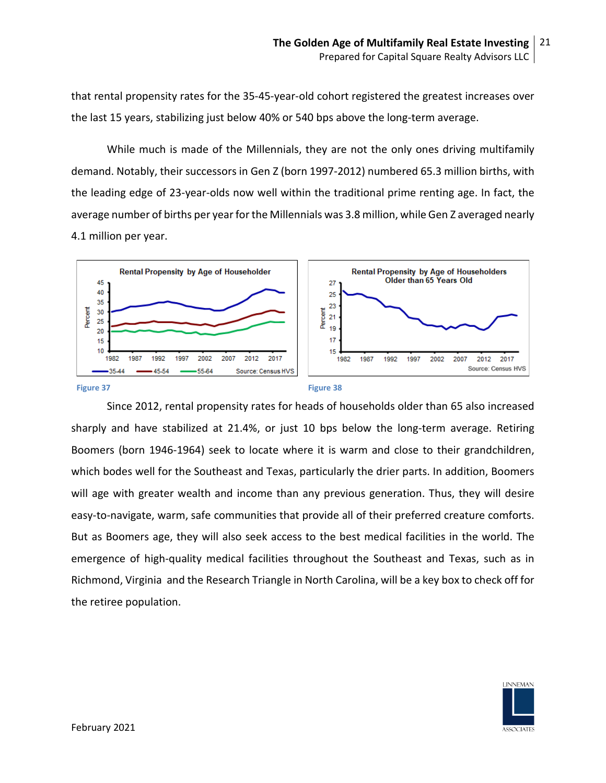that rental propensity rates for the 35-45-year-old cohort registered the greatest increases over the last 15 years, stabilizing just below 40% or 540 bps above the long-term average.

While much is made of the Millennials, they are not the only ones driving multifamily demand. Notably, their successors in Gen Z (born 1997-2012) numbered 65.3 million births, with the leading edge of 23-year-olds now well within the traditional prime renting age. In fact, the average number of births per year for the Millennials was 3.8 million, while Gen Z averaged nearly 4.1 million per year.



Since 2012, rental propensity rates for heads of households older than 65 also increased sharply and have stabilized at 21.4%, or just 10 bps below the long-term average. Retiring Boomers (born 1946-1964) seek to locate where it is warm and close to their grandchildren, which bodes well for the Southeast and Texas, particularly the drier parts. In addition, Boomers will age with greater wealth and income than any previous generation. Thus, they will desire easy-to-navigate, warm, safe communities that provide all of their preferred creature comforts. But as Boomers age, they will also seek access to the best medical facilities in the world. The emergence of high-quality medical facilities throughout the Southeast and Texas, such as in Richmond, Virginia and the Research Triangle in North Carolina, will be a key box to check off for the retiree population.

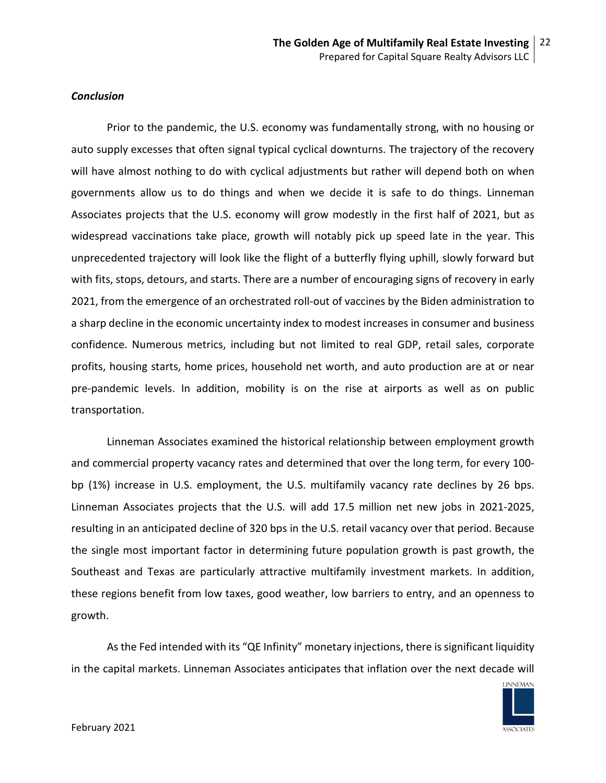### *Conclusion*

Prior to the pandemic, the U.S. economy was fundamentally strong, with no housing or auto supply excesses that often signal typical cyclical downturns. The trajectory of the recovery will have almost nothing to do with cyclical adjustments but rather will depend both on when governments allow us to do things and when we decide it is safe to do things. Linneman Associates projects that the U.S. economy will grow modestly in the first half of 2021, but as widespread vaccinations take place, growth will notably pick up speed late in the year. This unprecedented trajectory will look like the flight of a butterfly flying uphill, slowly forward but with fits, stops, detours, and starts. There are a number of encouraging signs of recovery in early 2021, from the emergence of an orchestrated roll-out of vaccines by the Biden administration to a sharp decline in the economic uncertainty index to modest increases in consumer and business confidence. Numerous metrics, including but not limited to real GDP, retail sales, corporate profits, housing starts, home prices, household net worth, and auto production are at or near pre-pandemic levels. In addition, mobility is on the rise at airports as well as on public transportation.

Linneman Associates examined the historical relationship between employment growth and commercial property vacancy rates and determined that over the long term, for every 100 bp (1%) increase in U.S. employment, the U.S. multifamily vacancy rate declines by 26 bps. Linneman Associates projects that the U.S. will add 17.5 million net new jobs in 2021-2025, resulting in an anticipated decline of 320 bps in the U.S. retail vacancy over that period. Because the single most important factor in determining future population growth is past growth, the Southeast and Texas are particularly attractive multifamily investment markets. In addition, these regions benefit from low taxes, good weather, low barriers to entry, and an openness to growth.

As the Fed intended with its "QE Infinity" monetary injections, there is significant liquidity in the capital markets. Linneman Associates anticipates that inflation over the next decade will

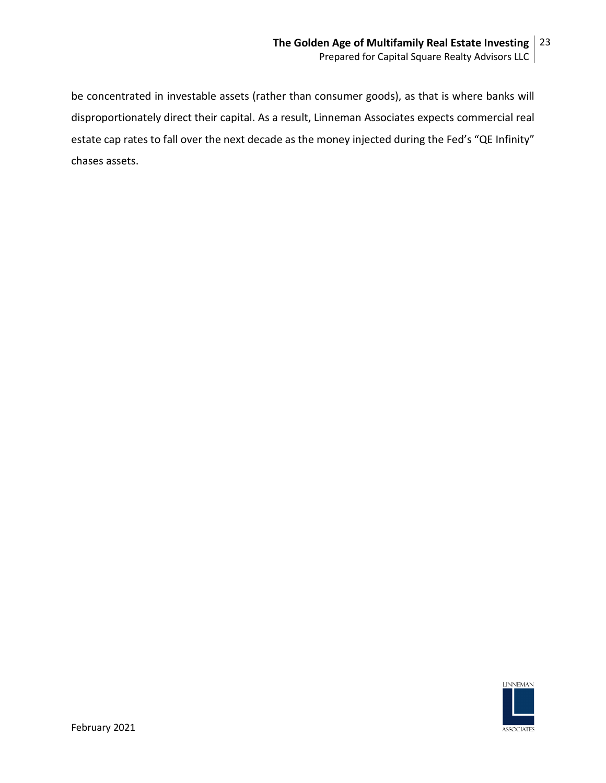be concentrated in investable assets (rather than consumer goods), as that is where banks will disproportionately direct their capital. As a result, Linneman Associates expects commercial real estate cap rates to fall over the next decade as the money injected during the Fed's "QE Infinity" chases assets.